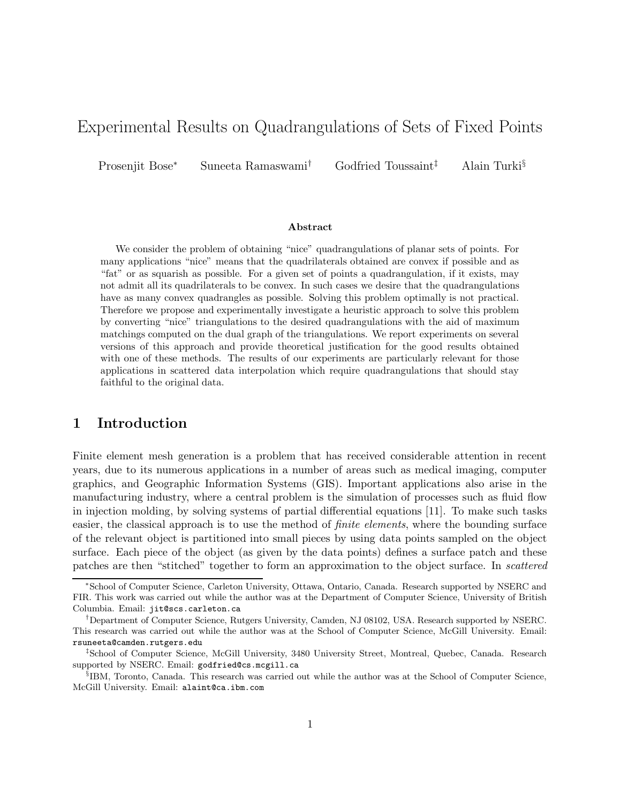## Experimental Results on Quadrangulations of Sets of Fixed Points

Prosenjit Bose<sup>∗</sup> Suneeta Ramaswami† Godfried Toussaint

Alain Turki<sup>§</sup>

#### Abstract

We consider the problem of obtaining "nice" quadrangulations of planar sets of points. For many applications "nice" means that the quadrilaterals obtained are convex if possible and as "fat" or as squarish as possible. For a given set of points a quadrangulation, if it exists, may not admit all its quadrilaterals to be convex. In such cases we desire that the quadrangulations have as many convex quadrangles as possible. Solving this problem optimally is not practical. Therefore we propose and experimentally investigate a heuristic approach to solve this problem by converting "nice" triangulations to the desired quadrangulations with the aid of maximum matchings computed on the dual graph of the triangulations. We report experiments on several versions of this approach and provide theoretical justification for the good results obtained with one of these methods. The results of our experiments are particularly relevant for those applications in scattered data interpolation which require quadrangulations that should stay faithful to the original data.

## 1 Introduction

Finite element mesh generation is a problem that has received considerable attention in recent years, due to its numerous applications in a number of areas such as medical imaging, computer graphics, and Geographic Information Systems (GIS). Important applications also arise in the manufacturing industry, where a central problem is the simulation of processes such as fluid flow in injection molding, by solving systems of partial differential equations [11]. To make such tasks easier, the classical approach is to use the method of *finite elements*, where the bounding surface of the relevant object is partitioned into small pieces by using data points sampled on the object surface. Each piece of the object (as given by the data points) defines a surface patch and these patches are then "stitched" together to form an approximation to the object surface. In scattered

<sup>∗</sup> School of Computer Science, Carleton University, Ottawa, Ontario, Canada. Research supported by NSERC and FIR. This work was carried out while the author was at the Department of Computer Science, University of British Columbia. Email: jit@scs.carleton.ca

<sup>†</sup>Department of Computer Science, Rutgers University, Camden, NJ 08102, USA. Research supported by NSERC. This research was carried out while the author was at the School of Computer Science, McGill University. Email: rsuneeta@camden.rutgers.edu

<sup>‡</sup> School of Computer Science, McGill University, 3480 University Street, Montreal, Quebec, Canada. Research supported by NSERC. Email: godfried@cs.mcgill.ca

<sup>§</sup> IBM, Toronto, Canada. This research was carried out while the author was at the School of Computer Science, McGill University. Email: alaint@ca.ibm.com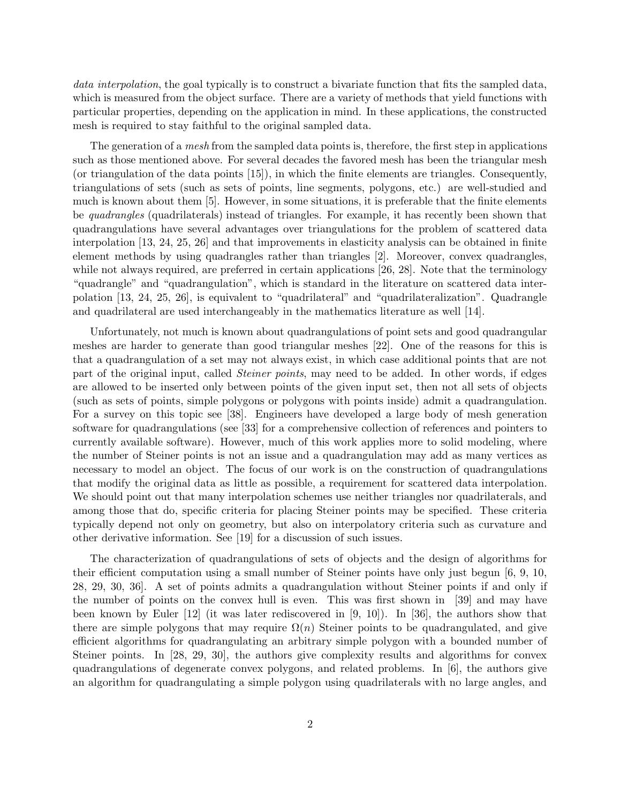data interpolation, the goal typically is to construct a bivariate function that fits the sampled data, which is measured from the object surface. There are a variety of methods that yield functions with particular properties, depending on the application in mind. In these applications, the constructed mesh is required to stay faithful to the original sampled data.

The generation of a *mesh* from the sampled data points is, therefore, the first step in applications such as those mentioned above. For several decades the favored mesh has been the triangular mesh (or triangulation of the data points [15]), in which the finite elements are triangles. Consequently, triangulations of sets (such as sets of points, line segments, polygons, etc.) are well-studied and much is known about them [5]. However, in some situations, it is preferable that the finite elements be quadrangles (quadrilaterals) instead of triangles. For example, it has recently been shown that quadrangulations have several advantages over triangulations for the problem of scattered data interpolation [13, 24, 25, 26] and that improvements in elasticity analysis can be obtained in finite element methods by using quadrangles rather than triangles [2]. Moreover, convex quadrangles, while not always required, are preferred in certain applications [26, 28]. Note that the terminology "quadrangle" and "quadrangulation", which is standard in the literature on scattered data interpolation [13, 24, 25, 26], is equivalent to "quadrilateral" and "quadrilateralization". Quadrangle and quadrilateral are used interchangeably in the mathematics literature as well [14].

Unfortunately, not much is known about quadrangulations of point sets and good quadrangular meshes are harder to generate than good triangular meshes [22]. One of the reasons for this is that a quadrangulation of a set may not always exist, in which case additional points that are not part of the original input, called *Steiner points*, may need to be added. In other words, if edges are allowed to be inserted only between points of the given input set, then not all sets of objects (such as sets of points, simple polygons or polygons with points inside) admit a quadrangulation. For a survey on this topic see [38]. Engineers have developed a large body of mesh generation software for quadrangulations (see [33] for a comprehensive collection of references and pointers to currently available software). However, much of this work applies more to solid modeling, where the number of Steiner points is not an issue and a quadrangulation may add as many vertices as necessary to model an object. The focus of our work is on the construction of quadrangulations that modify the original data as little as possible, a requirement for scattered data interpolation. We should point out that many interpolation schemes use neither triangles nor quadrilaterals, and among those that do, specific criteria for placing Steiner points may be specified. These criteria typically depend not only on geometry, but also on interpolatory criteria such as curvature and other derivative information. See [19] for a discussion of such issues.

The characterization of quadrangulations of sets of objects and the design of algorithms for their efficient computation using a small number of Steiner points have only just begun [6, 9, 10, 28, 29, 30, 36]. A set of points admits a quadrangulation without Steiner points if and only if the number of points on the convex hull is even. This was first shown in [39] and may have been known by Euler [12] (it was later rediscovered in [9, 10]). In [36], the authors show that there are simple polygons that may require  $\Omega(n)$  Steiner points to be quadrangulated, and give efficient algorithms for quadrangulating an arbitrary simple polygon with a bounded number of Steiner points. In [28, 29, 30], the authors give complexity results and algorithms for convex quadrangulations of degenerate convex polygons, and related problems. In [6], the authors give an algorithm for quadrangulating a simple polygon using quadrilaterals with no large angles, and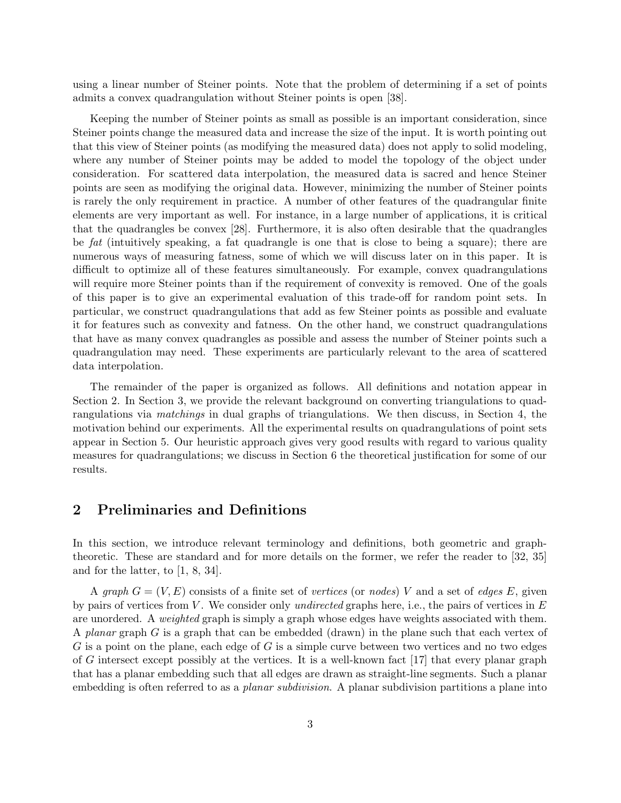using a linear number of Steiner points. Note that the problem of determining if a set of points admits a convex quadrangulation without Steiner points is open [38].

Keeping the number of Steiner points as small as possible is an important consideration, since Steiner points change the measured data and increase the size of the input. It is worth pointing out that this view of Steiner points (as modifying the measured data) does not apply to solid modeling, where any number of Steiner points may be added to model the topology of the object under consideration. For scattered data interpolation, the measured data is sacred and hence Steiner points are seen as modifying the original data. However, minimizing the number of Steiner points is rarely the only requirement in practice. A number of other features of the quadrangular finite elements are very important as well. For instance, in a large number of applications, it is critical that the quadrangles be convex [28]. Furthermore, it is also often desirable that the quadrangles be fat (intuitively speaking, a fat quadrangle is one that is close to being a square); there are numerous ways of measuring fatness, some of which we will discuss later on in this paper. It is difficult to optimize all of these features simultaneously. For example, convex quadrangulations will require more Steiner points than if the requirement of convexity is removed. One of the goals of this paper is to give an experimental evaluation of this trade-off for random point sets. In particular, we construct quadrangulations that add as few Steiner points as possible and evaluate it for features such as convexity and fatness. On the other hand, we construct quadrangulations that have as many convex quadrangles as possible and assess the number of Steiner points such a quadrangulation may need. These experiments are particularly relevant to the area of scattered data interpolation.

The remainder of the paper is organized as follows. All definitions and notation appear in Section 2. In Section 3, we provide the relevant background on converting triangulations to quadrangulations via matchings in dual graphs of triangulations. We then discuss, in Section 4, the motivation behind our experiments. All the experimental results on quadrangulations of point sets appear in Section 5. Our heuristic approach gives very good results with regard to various quality measures for quadrangulations; we discuss in Section 6 the theoretical justification for some of our results.

## 2 Preliminaries and Definitions

In this section, we introduce relevant terminology and definitions, both geometric and graphtheoretic. These are standard and for more details on the former, we refer the reader to [32, 35] and for the latter, to [1, 8, 34].

A graph  $G = (V, E)$  consists of a finite set of vertices (or nodes) V and a set of edges E, given by pairs of vertices from V. We consider only *undirected* graphs here, i.e., the pairs of vertices in  $E$ are unordered. A weighted graph is simply a graph whose edges have weights associated with them. A planar graph  $G$  is a graph that can be embedded (drawn) in the plane such that each vertex of  $G$  is a point on the plane, each edge of  $G$  is a simple curve between two vertices and no two edges of G intersect except possibly at the vertices. It is a well-known fact  $[17]$  that every planar graph that has a planar embedding such that all edges are drawn as straight-line segments. Such a planar embedding is often referred to as a *planar subdivision*. A planar subdivision partitions a plane into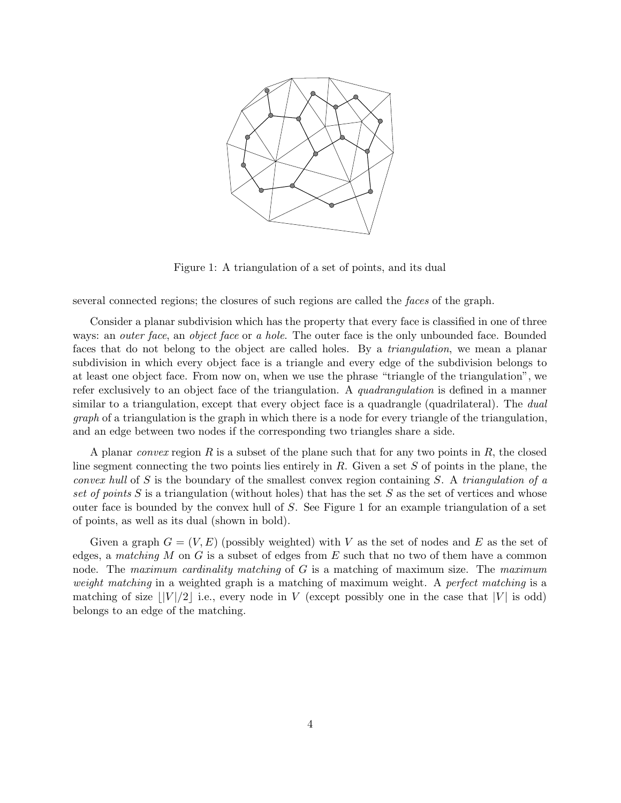

Figure 1: A triangulation of a set of points, and its dual

several connected regions; the closures of such regions are called the faces of the graph.

Consider a planar subdivision which has the property that every face is classified in one of three ways: an *outer face*, an *object face* or a *hole*. The outer face is the only unbounded face. Bounded faces that do not belong to the object are called holes. By a triangulation, we mean a planar subdivision in which every object face is a triangle and every edge of the subdivision belongs to at least one object face. From now on, when we use the phrase "triangle of the triangulation", we refer exclusively to an object face of the triangulation. A *quadrangulation* is defined in a manner similar to a triangulation, except that every object face is a quadrangle (quadrilateral). The *dual* graph of a triangulation is the graph in which there is a node for every triangle of the triangulation, and an edge between two nodes if the corresponding two triangles share a side.

A planar convex region R is a subset of the plane such that for any two points in R, the closed line segment connecting the two points lies entirely in  $R$ . Given a set  $S$  of points in the plane, the *convex hull* of S is the boundary of the smallest convex region containing S. A *triangulation of a* set of points  $S$  is a triangulation (without holes) that has the set  $S$  as the set of vertices and whose outer face is bounded by the convex hull of  $S$ . See Figure 1 for an example triangulation of a set of points, as well as its dual (shown in bold).

Given a graph  $G = (V, E)$  (possibly weighted) with V as the set of nodes and E as the set of edges, a matching M on G is a subset of edges from E such that no two of them have a common node. The maximum cardinality matching of  $G$  is a matching of maximum size. The maximum weight matching in a weighted graph is a matching of maximum weight. A perfect matching is a matching of size  $||V|/2$  i.e., every node in V (except possibly one in the case that |V| is odd) belongs to an edge of the matching.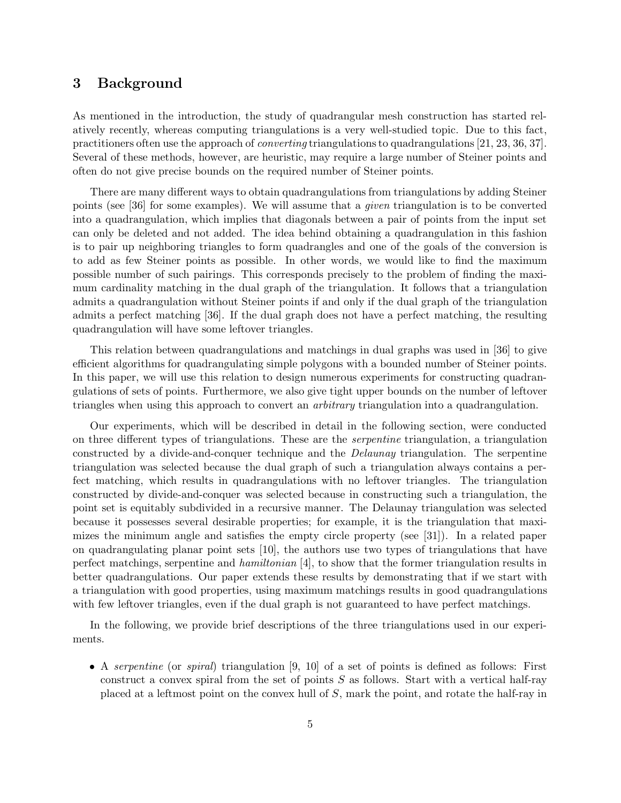## 3 Background

As mentioned in the introduction, the study of quadrangular mesh construction has started relatively recently, whereas computing triangulations is a very well-studied topic. Due to this fact, practitioners often use the approach of *converting* triangulations to quadrangulations [21, 23, 36, 37]. Several of these methods, however, are heuristic, may require a large number of Steiner points and often do not give precise bounds on the required number of Steiner points.

There are many different ways to obtain quadrangulations from triangulations by adding Steiner points (see [36] for some examples). We will assume that a given triangulation is to be converted into a quadrangulation, which implies that diagonals between a pair of points from the input set can only be deleted and not added. The idea behind obtaining a quadrangulation in this fashion is to pair up neighboring triangles to form quadrangles and one of the goals of the conversion is to add as few Steiner points as possible. In other words, we would like to find the maximum possible number of such pairings. This corresponds precisely to the problem of finding the maximum cardinality matching in the dual graph of the triangulation. It follows that a triangulation admits a quadrangulation without Steiner points if and only if the dual graph of the triangulation admits a perfect matching [36]. If the dual graph does not have a perfect matching, the resulting quadrangulation will have some leftover triangles.

This relation between quadrangulations and matchings in dual graphs was used in [36] to give efficient algorithms for quadrangulating simple polygons with a bounded number of Steiner points. In this paper, we will use this relation to design numerous experiments for constructing quadrangulations of sets of points. Furthermore, we also give tight upper bounds on the number of leftover triangles when using this approach to convert an arbitrary triangulation into a quadrangulation.

Our experiments, which will be described in detail in the following section, were conducted on three different types of triangulations. These are the serpentine triangulation, a triangulation constructed by a divide-and-conquer technique and the Delaunay triangulation. The serpentine triangulation was selected because the dual graph of such a triangulation always contains a perfect matching, which results in quadrangulations with no leftover triangles. The triangulation constructed by divide-and-conquer was selected because in constructing such a triangulation, the point set is equitably subdivided in a recursive manner. The Delaunay triangulation was selected because it possesses several desirable properties; for example, it is the triangulation that maximizes the minimum angle and satisfies the empty circle property (see [31]). In a related paper on quadrangulating planar point sets [10], the authors use two types of triangulations that have perfect matchings, serpentine and hamiltonian [4], to show that the former triangulation results in better quadrangulations. Our paper extends these results by demonstrating that if we start with a triangulation with good properties, using maximum matchings results in good quadrangulations with few leftover triangles, even if the dual graph is not guaranteed to have perfect matchings.

In the following, we provide brief descriptions of the three triangulations used in our experiments.

• A serpentine (or spiral) triangulation [9, 10] of a set of points is defined as follows: First construct a convex spiral from the set of points  $S$  as follows. Start with a vertical half-ray placed at a leftmost point on the convex hull of S, mark the point, and rotate the half-ray in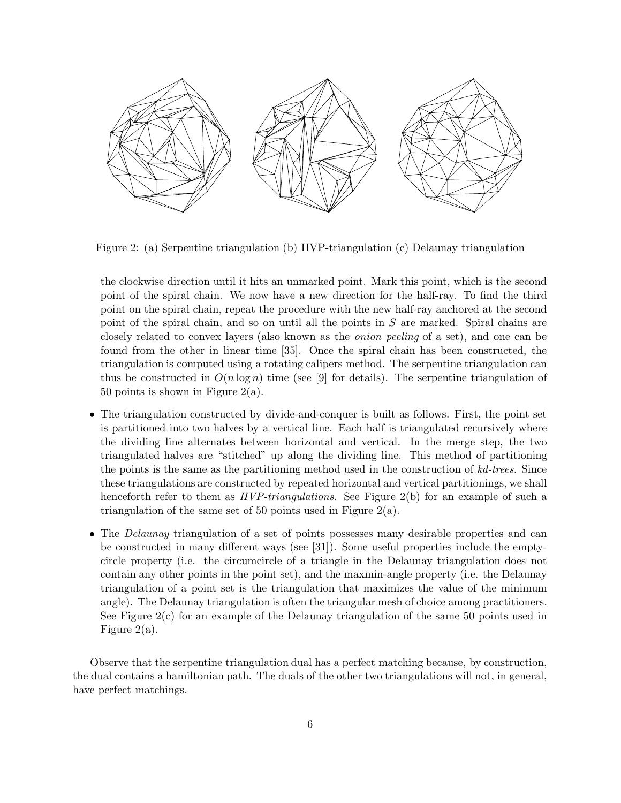

Figure 2: (a) Serpentine triangulation (b) HVP-triangulation (c) Delaunay triangulation

the clockwise direction until it hits an unmarked point. Mark this point, which is the second point of the spiral chain. We now have a new direction for the half-ray. To find the third point on the spiral chain, repeat the procedure with the new half-ray anchored at the second point of the spiral chain, and so on until all the points in S are marked. Spiral chains are closely related to convex layers (also known as the onion peeling of a set), and one can be found from the other in linear time [35]. Once the spiral chain has been constructed, the triangulation is computed using a rotating calipers method. The serpentine triangulation can thus be constructed in  $O(n \log n)$  time (see [9] for details). The serpentine triangulation of 50 points is shown in Figure 2(a).

- The triangulation constructed by divide-and-conquer is built as follows. First, the point set is partitioned into two halves by a vertical line. Each half is triangulated recursively where the dividing line alternates between horizontal and vertical. In the merge step, the two triangulated halves are "stitched" up along the dividing line. This method of partitioning the points is the same as the partitioning method used in the construction of kd-trees. Since these triangulations are constructed by repeated horizontal and vertical partitionings, we shall henceforth refer to them as *HVP-triangulations*. See Figure 2(b) for an example of such a triangulation of the same set of 50 points used in Figure  $2(a)$ .
- The *Delaunay* triangulation of a set of points possesses many desirable properties and can be constructed in many different ways (see [31]). Some useful properties include the emptycircle property (i.e. the circumcircle of a triangle in the Delaunay triangulation does not contain any other points in the point set), and the maxmin-angle property (i.e. the Delaunay triangulation of a point set is the triangulation that maximizes the value of the minimum angle). The Delaunay triangulation is often the triangular mesh of choice among practitioners. See Figure  $2(c)$  for an example of the Delaunay triangulation of the same 50 points used in Figure 2(a).

Observe that the serpentine triangulation dual has a perfect matching because, by construction, the dual contains a hamiltonian path. The duals of the other two triangulations will not, in general, have perfect matchings.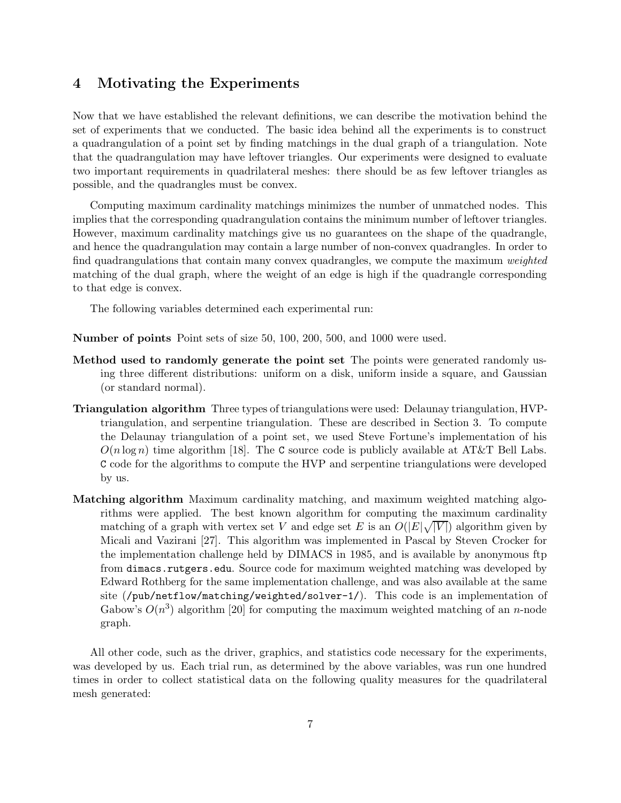## 4 Motivating the Experiments

Now that we have established the relevant definitions, we can describe the motivation behind the set of experiments that we conducted. The basic idea behind all the experiments is to construct a quadrangulation of a point set by finding matchings in the dual graph of a triangulation. Note that the quadrangulation may have leftover triangles. Our experiments were designed to evaluate two important requirements in quadrilateral meshes: there should be as few leftover triangles as possible, and the quadrangles must be convex.

Computing maximum cardinality matchings minimizes the number of unmatched nodes. This implies that the corresponding quadrangulation contains the minimum number of leftover triangles. However, maximum cardinality matchings give us no guarantees on the shape of the quadrangle, and hence the quadrangulation may contain a large number of non-convex quadrangles. In order to find quadrangulations that contain many convex quadrangles, we compute the maximum weighted matching of the dual graph, where the weight of an edge is high if the quadrangle corresponding to that edge is convex.

The following variables determined each experimental run:

- Number of points Point sets of size 50, 100, 200, 500, and 1000 were used.
- Method used to randomly generate the point set The points were generated randomly using three different distributions: uniform on a disk, uniform inside a square, and Gaussian (or standard normal).
- Triangulation algorithm Three types of triangulations were used: Delaunay triangulation, HVPtriangulation, and serpentine triangulation. These are described in Section 3. To compute the Delaunay triangulation of a point set, we used Steve Fortune's implementation of his  $O(n \log n)$  time algorithm [18]. The C source code is publicly available at AT&T Bell Labs. C code for the algorithms to compute the HVP and serpentine triangulations were developed by us.
- Matching algorithm Maximum cardinality matching, and maximum weighted matching algorithms were applied. The best known algorithm for computing the maximum cardinality matching of a graph with vertex set V and edge set E is an  $O(|E|\sqrt{|V|})$  algorithm given by Micali and Vazirani [27]. This algorithm was implemented in Pascal by Steven Crocker for the implementation challenge held by DIMACS in 1985, and is available by anonymous ftp from dimacs.rutgers.edu. Source code for maximum weighted matching was developed by Edward Rothberg for the same implementation challenge, and was also available at the same site (/pub/netflow/matching/weighted/solver-1/). This code is an implementation of Gabow's  $O(n^3)$  algorithm [20] for computing the maximum weighted matching of an *n*-node graph.

All other code, such as the driver, graphics, and statistics code necessary for the experiments, was developed by us. Each trial run, as determined by the above variables, was run one hundred times in order to collect statistical data on the following quality measures for the quadrilateral mesh generated: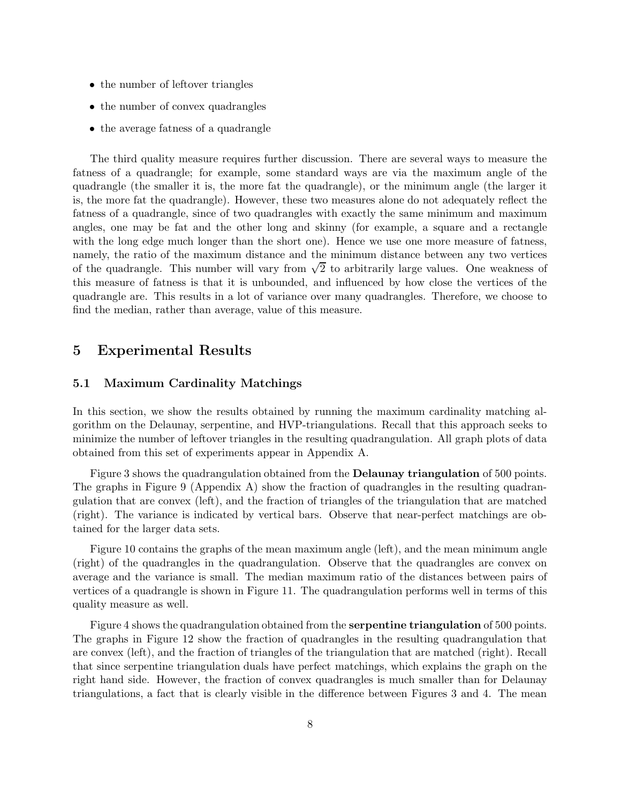- the number of leftover triangles
- the number of convex quadrangles
- the average fatness of a quadrangle

The third quality measure requires further discussion. There are several ways to measure the fatness of a quadrangle; for example, some standard ways are via the maximum angle of the quadrangle (the smaller it is, the more fat the quadrangle), or the minimum angle (the larger it is, the more fat the quadrangle). However, these two measures alone do not adequately reflect the fatness of a quadrangle, since of two quadrangles with exactly the same minimum and maximum angles, one may be fat and the other long and skinny (for example, a square and a rectangle with the long edge much longer than the short one). Hence we use one more measure of fatness, namely, the ratio of the maximum distance and the minimum distance between any two vertices of the quadrangle. This number will vary from  $\sqrt{2}$  to arbitrarily large values. One weakness of this measure of fatness is that it is unbounded, and influenced by how close the vertices of the quadrangle are. This results in a lot of variance over many quadrangles. Therefore, we choose to find the median, rather than average, value of this measure.

## 5 Experimental Results

#### 5.1 Maximum Cardinality Matchings

In this section, we show the results obtained by running the maximum cardinality matching algorithm on the Delaunay, serpentine, and HVP-triangulations. Recall that this approach seeks to minimize the number of leftover triangles in the resulting quadrangulation. All graph plots of data obtained from this set of experiments appear in Appendix A.

Figure 3 shows the quadrangulation obtained from the **Delaunay triangulation** of 500 points. The graphs in Figure 9 (Appendix A) show the fraction of quadrangles in the resulting quadrangulation that are convex (left), and the fraction of triangles of the triangulation that are matched (right). The variance is indicated by vertical bars. Observe that near-perfect matchings are obtained for the larger data sets.

Figure 10 contains the graphs of the mean maximum angle (left), and the mean minimum angle (right) of the quadrangles in the quadrangulation. Observe that the quadrangles are convex on average and the variance is small. The median maximum ratio of the distances between pairs of vertices of a quadrangle is shown in Figure 11. The quadrangulation performs well in terms of this quality measure as well.

Figure 4 shows the quadrangulation obtained from the serpentine triangulation of 500 points. The graphs in Figure 12 show the fraction of quadrangles in the resulting quadrangulation that are convex (left), and the fraction of triangles of the triangulation that are matched (right). Recall that since serpentine triangulation duals have perfect matchings, which explains the graph on the right hand side. However, the fraction of convex quadrangles is much smaller than for Delaunay triangulations, a fact that is clearly visible in the difference between Figures 3 and 4. The mean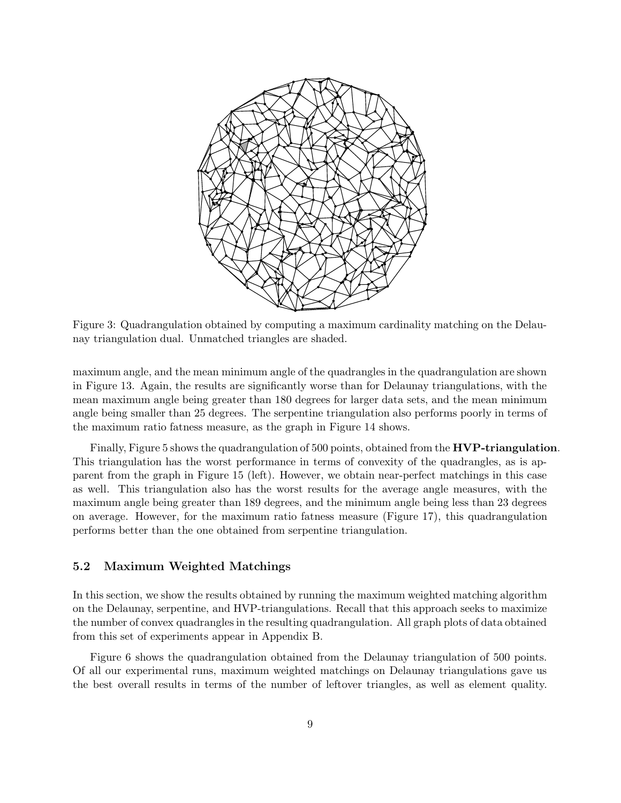

Figure 3: Quadrangulation obtained by computing a maximum cardinality matching on the Delaunay triangulation dual. Unmatched triangles are shaded.

maximum angle, and the mean minimum angle of the quadrangles in the quadrangulation are shown in Figure 13. Again, the results are significantly worse than for Delaunay triangulations, with the mean maximum angle being greater than 180 degrees for larger data sets, and the mean minimum angle being smaller than 25 degrees. The serpentine triangulation also performs poorly in terms of the maximum ratio fatness measure, as the graph in Figure 14 shows.

Finally, Figure 5 shows the quadrangulation of 500 points, obtained from the **HVP-triangulation**. This triangulation has the worst performance in terms of convexity of the quadrangles, as is apparent from the graph in Figure 15 (left). However, we obtain near-perfect matchings in this case as well. This triangulation also has the worst results for the average angle measures, with the maximum angle being greater than 189 degrees, and the minimum angle being less than 23 degrees on average. However, for the maximum ratio fatness measure (Figure 17), this quadrangulation performs better than the one obtained from serpentine triangulation.

#### 5.2 Maximum Weighted Matchings

In this section, we show the results obtained by running the maximum weighted matching algorithm on the Delaunay, serpentine, and HVP-triangulations. Recall that this approach seeks to maximize the number of convex quadrangles in the resulting quadrangulation. All graph plots of data obtained from this set of experiments appear in Appendix B.

Figure 6 shows the quadrangulation obtained from the Delaunay triangulation of 500 points. Of all our experimental runs, maximum weighted matchings on Delaunay triangulations gave us the best overall results in terms of the number of leftover triangles, as well as element quality.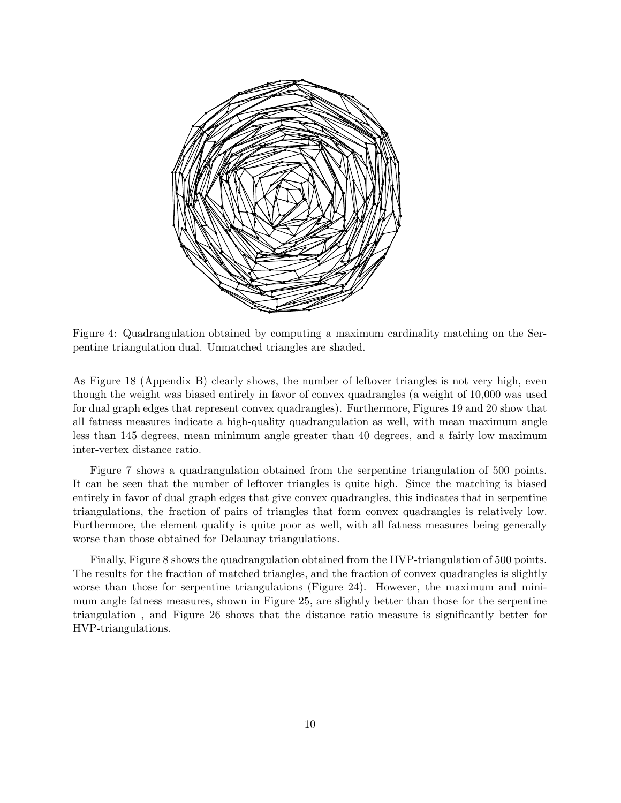

Figure 4: Quadrangulation obtained by computing a maximum cardinality matching on the Serpentine triangulation dual. Unmatched triangles are shaded.

As Figure 18 (Appendix B) clearly shows, the number of leftover triangles is not very high, even though the weight was biased entirely in favor of convex quadrangles (a weight of 10,000 was used for dual graph edges that represent convex quadrangles). Furthermore, Figures 19 and 20 show that all fatness measures indicate a high-quality quadrangulation as well, with mean maximum angle less than 145 degrees, mean minimum angle greater than 40 degrees, and a fairly low maximum inter-vertex distance ratio.

Figure 7 shows a quadrangulation obtained from the serpentine triangulation of 500 points. It can be seen that the number of leftover triangles is quite high. Since the matching is biased entirely in favor of dual graph edges that give convex quadrangles, this indicates that in serpentine triangulations, the fraction of pairs of triangles that form convex quadrangles is relatively low. Furthermore, the element quality is quite poor as well, with all fatness measures being generally worse than those obtained for Delaunay triangulations.

Finally, Figure 8 shows the quadrangulation obtained from the HVP-triangulation of 500 points. The results for the fraction of matched triangles, and the fraction of convex quadrangles is slightly worse than those for serpentine triangulations (Figure 24). However, the maximum and minimum angle fatness measures, shown in Figure 25, are slightly better than those for the serpentine triangulation , and Figure 26 shows that the distance ratio measure is significantly better for HVP-triangulations.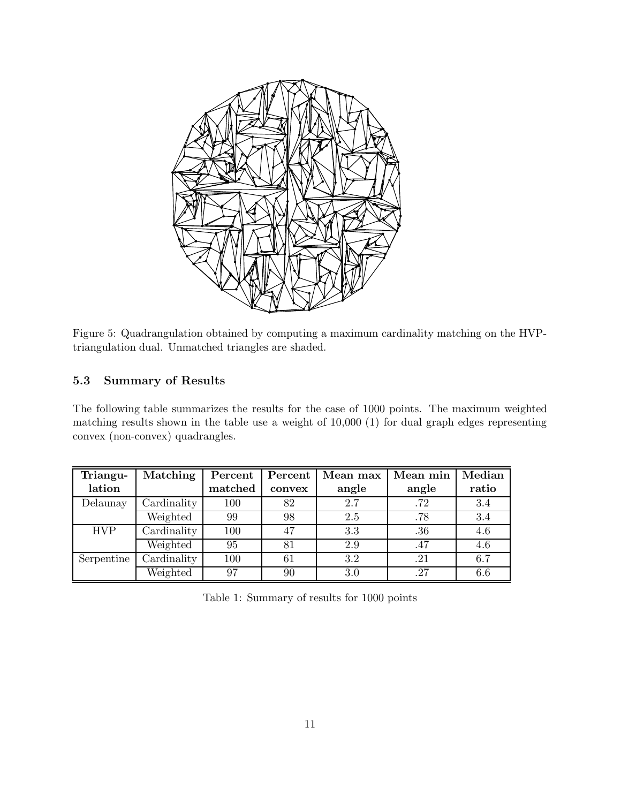

Figure 5: Quadrangulation obtained by computing a maximum cardinality matching on the HVPtriangulation dual. Unmatched triangles are shaded.

### 5.3 Summary of Results

The following table summarizes the results for the case of 1000 points. The maximum weighted matching results shown in the table use a weight of 10,000 (1) for dual graph edges representing convex (non-convex) quadrangles.

| Triangu-   | Matching    | Percent | Percent | Mean max | Mean min | Median |
|------------|-------------|---------|---------|----------|----------|--------|
| lation     |             | matched | convex  | angle    | angle    | ratio  |
| Delaunay   | Cardinality | 100     | 82      | 2.7      | .72      | 3.4    |
|            | Weighted    | 99      | 98      | 2.5      | .78      | 3.4    |
| <b>HVP</b> | Cardinality | 100     | 47      | 3.3      | .36      | 4.6    |
|            | Weighted    | 95      | 81      | 2.9      | .47      | 4.6    |
| Serpentine | Cardinality | 100     | 61      | 3.2      | .21      | 6.7    |
|            | Weighted    | 97      | 90      | 3.0      | .27      | 6.6    |

Table 1: Summary of results for 1000 points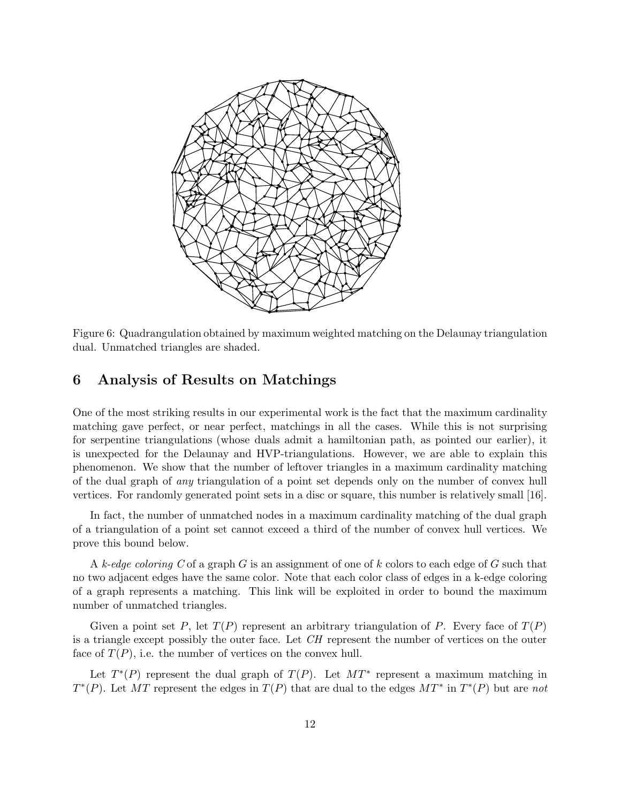

Figure 6: Quadrangulation obtained by maximum weighted matching on the Delaunay triangulation dual. Unmatched triangles are shaded.

## 6 Analysis of Results on Matchings

One of the most striking results in our experimental work is the fact that the maximum cardinality matching gave perfect, or near perfect, matchings in all the cases. While this is not surprising for serpentine triangulations (whose duals admit a hamiltonian path, as pointed our earlier), it is unexpected for the Delaunay and HVP-triangulations. However, we are able to explain this phenomenon. We show that the number of leftover triangles in a maximum cardinality matching of the dual graph of any triangulation of a point set depends only on the number of convex hull vertices. For randomly generated point sets in a disc or square, this number is relatively small [16].

In fact, the number of unmatched nodes in a maximum cardinality matching of the dual graph of a triangulation of a point set cannot exceed a third of the number of convex hull vertices. We prove this bound below.

A k-edge coloring C of a graph G is an assignment of one of k colors to each edge of G such that no two adjacent edges have the same color. Note that each color class of edges in a k-edge coloring of a graph represents a matching. This link will be exploited in order to bound the maximum number of unmatched triangles.

Given a point set P, let  $T(P)$  represent an arbitrary triangulation of P. Every face of  $T(P)$ is a triangle except possibly the outer face. Let CH represent the number of vertices on the outer face of  $T(P)$ , i.e. the number of vertices on the convex hull.

Let  $T^*(P)$  represent the dual graph of  $T(P)$ . Let  $MT^*$  represent a maximum matching in  $T^*(P)$ . Let MT represent the edges in  $T(P)$  that are dual to the edges  $MT^*$  in  $T^*(P)$  but are not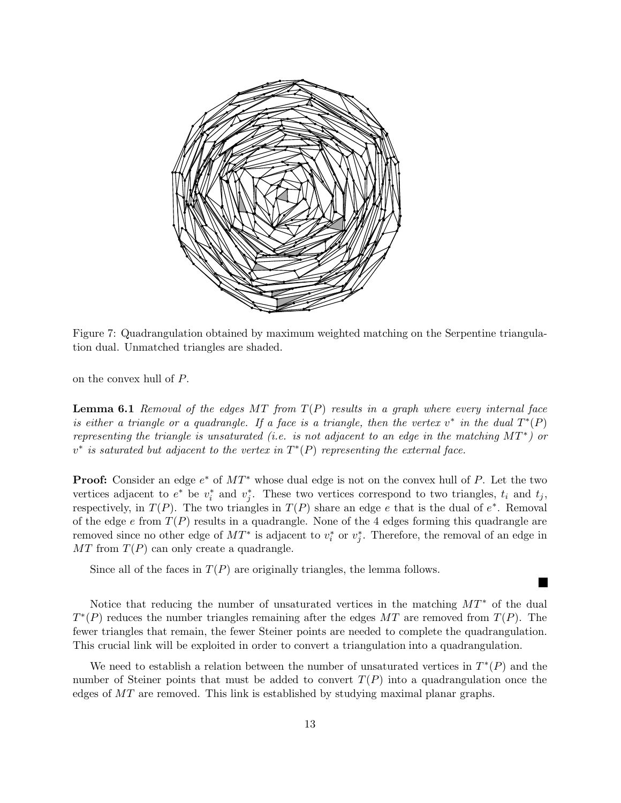

Figure 7: Quadrangulation obtained by maximum weighted matching on the Serpentine triangulation dual. Unmatched triangles are shaded.

on the convex hull of P.

**Lemma 6.1** Removal of the edges MT from  $T(P)$  results in a graph where every internal face is either a triangle or a quadrangle. If a face is a triangle, then the vertex  $v^*$  in the dual  $T^*(P)$ representing the triangle is unsaturated (i.e. is not adjacent to an edge in the matching  $MT^*$ ) or  $v^*$  is saturated but adjacent to the vertex in  $T^*(P)$  representing the external face.

**Proof:** Consider an edge  $e^*$  of  $MT^*$  whose dual edge is not on the convex hull of P. Let the two vertices adjacent to  $e^*$  be  $v_i^*$  and  $v_j^*$ . These two vertices correspond to two triangles,  $t_i$  and  $t_j$ , respectively, in  $T(P)$ . The two triangles in  $T(P)$  share an edge e that is the dual of  $e^*$ . Removal of the edge  $e$  from  $T(P)$  results in a quadrangle. None of the 4 edges forming this quadrangle are removed since no other edge of  $MT^*$  is adjacent to  $v_i^*$  or  $v_j^*$ . Therefore, the removal of an edge in  $MT$  from  $T(P)$  can only create a quadrangle.

Since all of the faces in  $T(P)$  are originally triangles, the lemma follows.

Notice that reducing the number of unsaturated vertices in the matching  $MT^*$  of the dual  $T^*(P)$  reduces the number triangles remaining after the edges  $MT$  are removed from  $T(P)$ . The fewer triangles that remain, the fewer Steiner points are needed to complete the quadrangulation. This crucial link will be exploited in order to convert a triangulation into a quadrangulation.

We need to establish a relation between the number of unsaturated vertices in  $T^*(P)$  and the number of Steiner points that must be added to convert  $T(P)$  into a quadrangulation once the edges of MT are removed. This link is established by studying maximal planar graphs.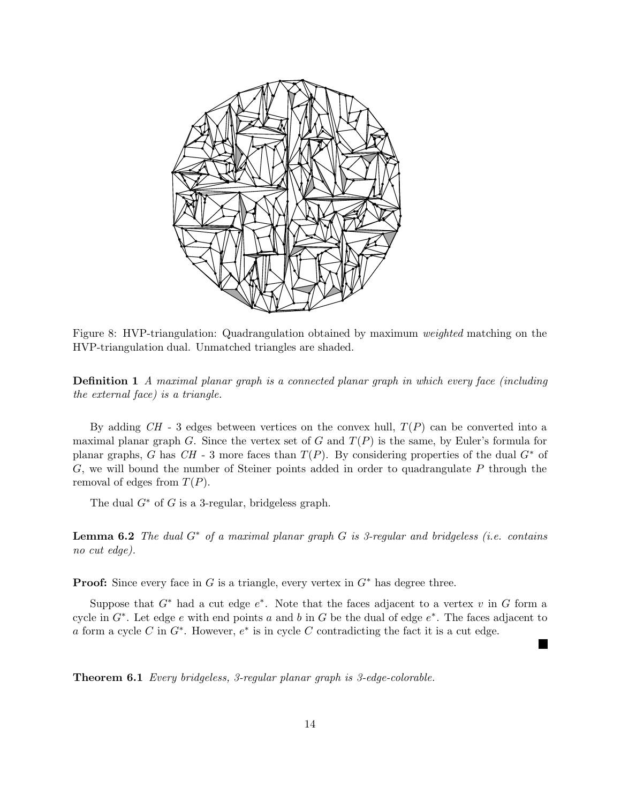

Figure 8: HVP-triangulation: Quadrangulation obtained by maximum weighted matching on the HVP-triangulation dual. Unmatched triangles are shaded.

**Definition 1** A maximal planar graph is a connected planar graph in which every face (including the external face) is a triangle.

By adding  $CH$  - 3 edges between vertices on the convex hull,  $T(P)$  can be converted into a maximal planar graph G. Since the vertex set of G and  $T(P)$  is the same, by Euler's formula for planar graphs, G has  $CH$  - 3 more faces than  $T(P)$ . By considering properties of the dual  $G^*$  of  $G$ , we will bound the number of Steiner points added in order to quadrangulate  $P$  through the removal of edges from  $T(P)$ .

The dual  $G^*$  of G is a 3-regular, bridgeless graph.

**Lemma 6.2** The dual  $G^*$  of a maximal planar graph G is 3-regular and bridgeless (i.e. contains no cut edge).

**Proof:** Since every face in G is a triangle, every vertex in  $G^*$  has degree three.

Suppose that  $G^*$  had a cut edge  $e^*$ . Note that the faces adjacent to a vertex v in G form a cycle in  $G^*$ . Let edge e with end points a and b in G be the dual of edge  $e^*$ . The faces adjacent to a form a cycle C in  $G^*$ . However,  $e^*$  is in cycle C contradicting the fact it is a cut edge.

Theorem 6.1 Every bridgeless, 3-regular planar graph is 3-edge-colorable.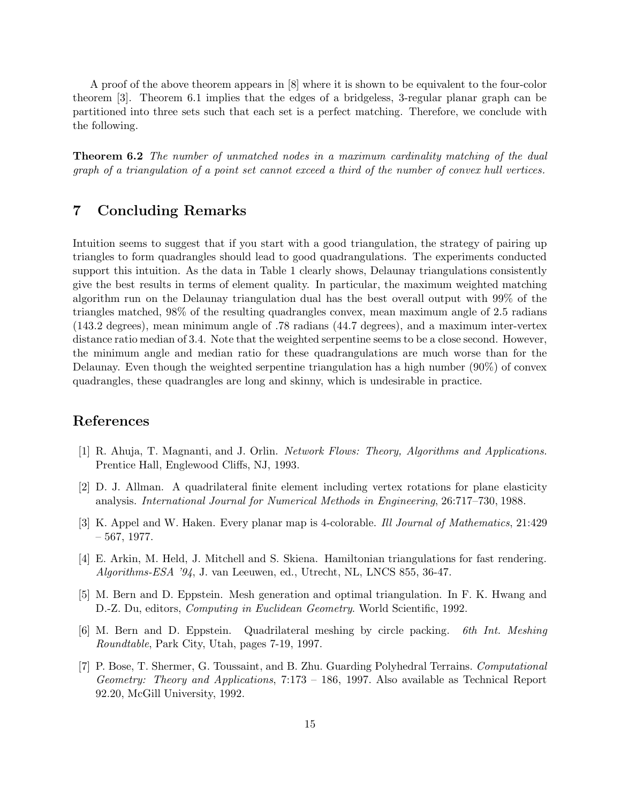A proof of the above theorem appears in [8] where it is shown to be equivalent to the four-color theorem [3]. Theorem 6.1 implies that the edges of a bridgeless, 3-regular planar graph can be partitioned into three sets such that each set is a perfect matching. Therefore, we conclude with the following.

Theorem 6.2 The number of unmatched nodes in a maximum cardinality matching of the dual graph of a triangulation of a point set cannot exceed a third of the number of convex hull vertices.

## 7 Concluding Remarks

Intuition seems to suggest that if you start with a good triangulation, the strategy of pairing up triangles to form quadrangles should lead to good quadrangulations. The experiments conducted support this intuition. As the data in Table 1 clearly shows, Delaunay triangulations consistently give the best results in terms of element quality. In particular, the maximum weighted matching algorithm run on the Delaunay triangulation dual has the best overall output with 99% of the triangles matched, 98% of the resulting quadrangles convex, mean maximum angle of 2.5 radians (143.2 degrees), mean minimum angle of .78 radians (44.7 degrees), and a maximum inter-vertex distance ratio median of 3.4. Note that the weighted serpentine seems to be a close second. However, the minimum angle and median ratio for these quadrangulations are much worse than for the Delaunay. Even though the weighted serpentine triangulation has a high number (90%) of convex quadrangles, these quadrangles are long and skinny, which is undesirable in practice.

## References

- [1] R. Ahuja, T. Magnanti, and J. Orlin. Network Flows: Theory, Algorithms and Applications. Prentice Hall, Englewood Cliffs, NJ, 1993.
- [2] D. J. Allman. A quadrilateral finite element including vertex rotations for plane elasticity analysis. International Journal for Numerical Methods in Engineering, 26:717–730, 1988.
- [3] K. Appel and W. Haken. Every planar map is 4-colorable. Ill Journal of Mathematics, 21:429 – 567, 1977.
- [4] E. Arkin, M. Held, J. Mitchell and S. Skiena. Hamiltonian triangulations for fast rendering.  $Algorithms-ESA$  '94, J. van Leeuwen, ed., Utrecht, NL, LNCS 855, 36-47.
- [5] M. Bern and D. Eppstein. Mesh generation and optimal triangulation. In F. K. Hwang and D.-Z. Du, editors, Computing in Euclidean Geometry. World Scientific, 1992.
- [6] M. Bern and D. Eppstein. Quadrilateral meshing by circle packing. 6th Int. Meshing Roundtable, Park City, Utah, pages 7-19, 1997.
- [7] P. Bose, T. Shermer, G. Toussaint, and B. Zhu. Guarding Polyhedral Terrains. Computational Geometry: Theory and Applications, 7:173 – 186, 1997. Also available as Technical Report 92.20, McGill University, 1992.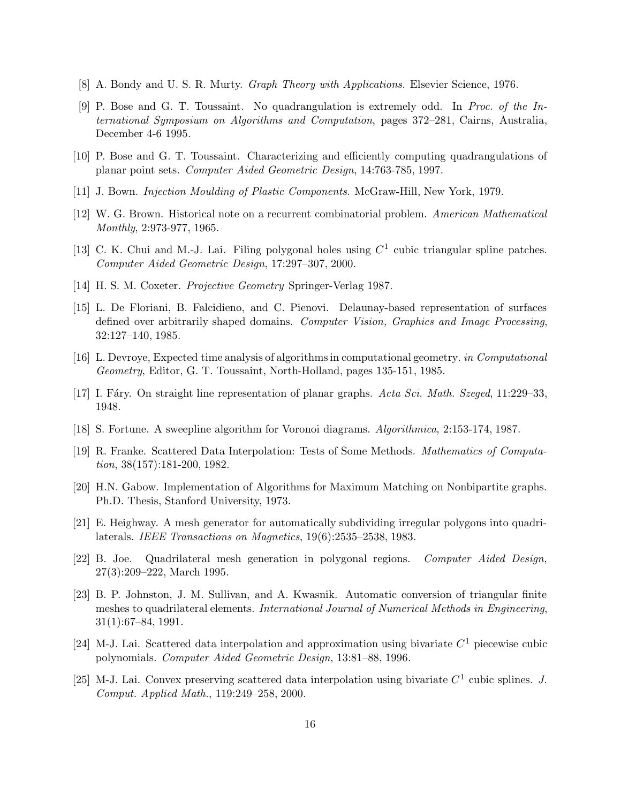- [8] A. Bondy and U. S. R. Murty. Graph Theory with Applications. Elsevier Science, 1976.
- [9] P. Bose and G. T. Toussaint. No quadrangulation is extremely odd. In Proc. of the International Symposium on Algorithms and Computation, pages 372–281, Cairns, Australia, December 4-6 1995.
- [10] P. Bose and G. T. Toussaint. Characterizing and efficiently computing quadrangulations of planar point sets. Computer Aided Geometric Design, 14:763-785, 1997.
- [11] J. Bown. Injection Moulding of Plastic Components. McGraw-Hill, New York, 1979.
- [12] W. G. Brown. Historical note on a recurrent combinatorial problem. American Mathematical Monthly, 2:973-977, 1965.
- [13] C. K. Chui and M.-J. Lai. Filing polygonal holes using  $C<sup>1</sup>$  cubic triangular spline patches. Computer Aided Geometric Design, 17:297–307, 2000.
- [14] H. S. M. Coxeter. Projective Geometry Springer-Verlag 1987.
- [15] L. De Floriani, B. Falcidieno, and C. Pienovi. Delaunay-based representation of surfaces defined over arbitrarily shaped domains. Computer Vision, Graphics and Image Processing, 32:127–140, 1985.
- [16] L. Devroye, Expected time analysis of algorithmsin computational geometry. in Computational Geometry, Editor, G. T. Toussaint, North-Holland, pages 135-151, 1985.
- [17] I. Fáry. On straight line representation of planar graphs. Acta Sci. Math. Szeged, 11:229–33, 1948.
- [18] S. Fortune. A sweepline algorithm for Voronoi diagrams. Algorithmica, 2:153-174, 1987.
- [19] R. Franke. Scattered Data Interpolation: Tests of Some Methods. Mathematics of Computation, 38(157):181-200, 1982.
- [20] H.N. Gabow. Implementation of Algorithms for Maximum Matching on Nonbipartite graphs. Ph.D. Thesis, Stanford University, 1973.
- [21] E. Heighway. A mesh generator for automatically subdividing irregular polygons into quadrilaterals. IEEE Transactions on Magnetics, 19(6):2535–2538, 1983.
- [22] B. Joe. Quadrilateral mesh generation in polygonal regions. Computer Aided Design, 27(3):209–222, March 1995.
- [23] B. P. Johnston, J. M. Sullivan, and A. Kwasnik. Automatic conversion of triangular finite meshes to quadrilateral elements. International Journal of Numerical Methods in Engineering, 31(1):67–84, 1991.
- [24] M-J. Lai. Scattered data interpolation and approximation using bivariate  $C<sup>1</sup>$  piecewise cubic polynomials. Computer Aided Geometric Design, 13:81–88, 1996.
- [25] M-J. Lai. Convex preserving scattered data interpolation using bivariate  $C<sup>1</sup>$  cubic splines. J. Comput. Applied Math., 119:249–258, 2000.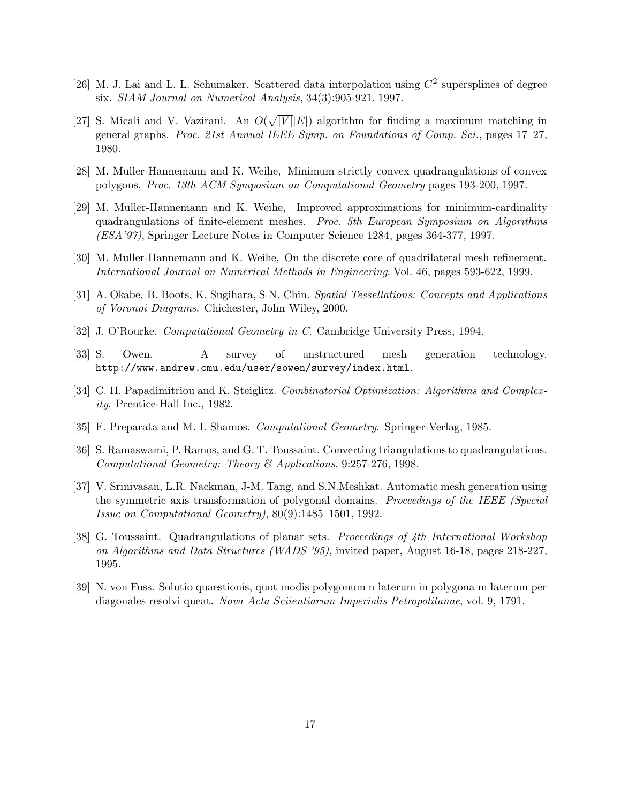- [26] M. J. Lai and L. L. Schumaker. Scattered data interpolation using  $C^2$  supersplines of degree six. SIAM Journal on Numerical Analysis, 34(3):905-921, 1997.
- [27] S. Micali and V. Vazirani. An  $O(\sqrt{|V|}|E|)$  algorithm for finding a maximum matching in general graphs. Proc. 21st Annual IEEE Symp. on Foundations of Comp. Sci., pages 17–27, 1980.
- [28] M. Muller-Hannemann and K. Weihe, Minimum strictly convex quadrangulations of convex polygons. Proc. 13th ACM Symposium on Computational Geometry pages 193-200, 1997.
- [29] M. Muller-Hannemann and K. Weihe, Improved approximations for minimum-cardinality quadrangulations of finite-element meshes. Proc. 5th European Symposium on Algorithms (ESA'97), Springer Lecture Notes in Computer Science 1284, pages 364-377, 1997.
- [30] M. Muller-Hannemann and K. Weihe, On the discrete core of quadrilateral mesh refinement. International Journal on Numerical Methods in Engineering. Vol. 46, pages 593-622, 1999.
- [31] A. Okabe, B. Boots, K. Sugihara, S-N. Chin. Spatial Tessellations: Concepts and Applications of Voronoi Diagrams. Chichester, John Wiley, 2000.
- [32] J. O'Rourke. Computational Geometry in C. Cambridge University Press, 1994.
- [33] S. Owen. A survey of unstructured mesh generation technology. http://www.andrew.cmu.edu/user/sowen/survey/index.html.
- [34] C. H. Papadimitriou and K. Steiglitz. *Combinatorial Optimization: Algorithms and Complex*ity. Prentice-Hall Inc., 1982.
- [35] F. Preparata and M. I. Shamos. Computational Geometry. Springer-Verlag, 1985.
- [36] S. Ramaswami, P. Ramos, and G. T. Toussaint. Converting triangulationsto quadrangulations. Computational Geometry: Theory & Applications, 9:257-276, 1998.
- [37] V. Srinivasan, L.R. Nackman, J-M. Tang, and S.N.Meshkat. Automatic mesh generation using the symmetric axis transformation of polygonal domains. Proceedings of the IEEE (Special Issue on Computational Geometry), 80(9):1485–1501, 1992.
- [38] G. Toussaint. Quadrangulations of planar sets. Proceedings of 4th International Workshop on Algorithms and Data Structures (WADS '95), invited paper, August 16-18, pages 218-227, 1995.
- [39] N. von Fuss. Solutio quaestionis, quot modis polygonum n laterum in polygona m laterum per diagonales resolvi queat. Nova Acta Sciientiarum Imperialis Petropolitanae, vol. 9, 1791.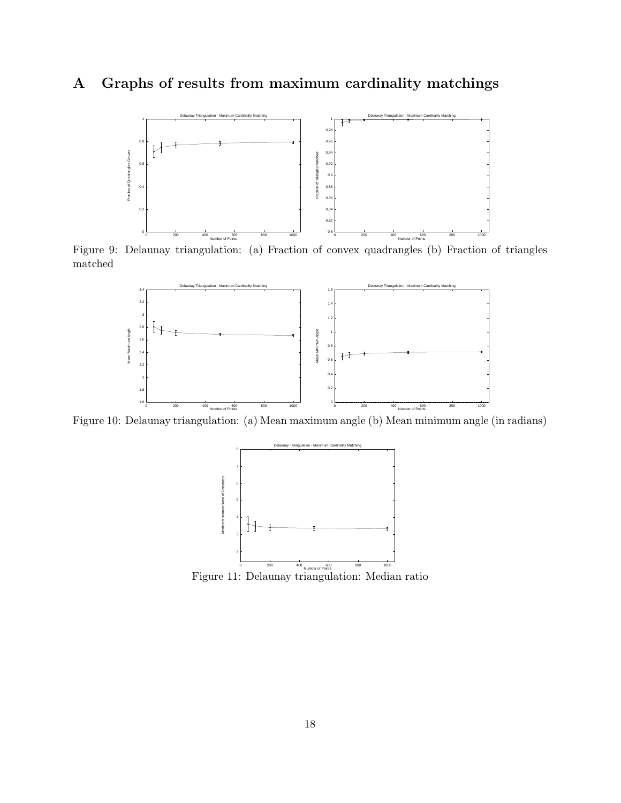# A Graphs of results from maximum cardinality matchings



Figure 9: Delaunay triangulation: (a) Fraction of convex quadrangles (b) Fraction of triangles matched



Figure 10: Delaunay triangulation: (a) Mean maximum angle (b) Mean minimum angle (in radians)



Figure 11: Delaunay triangulation: Median ratio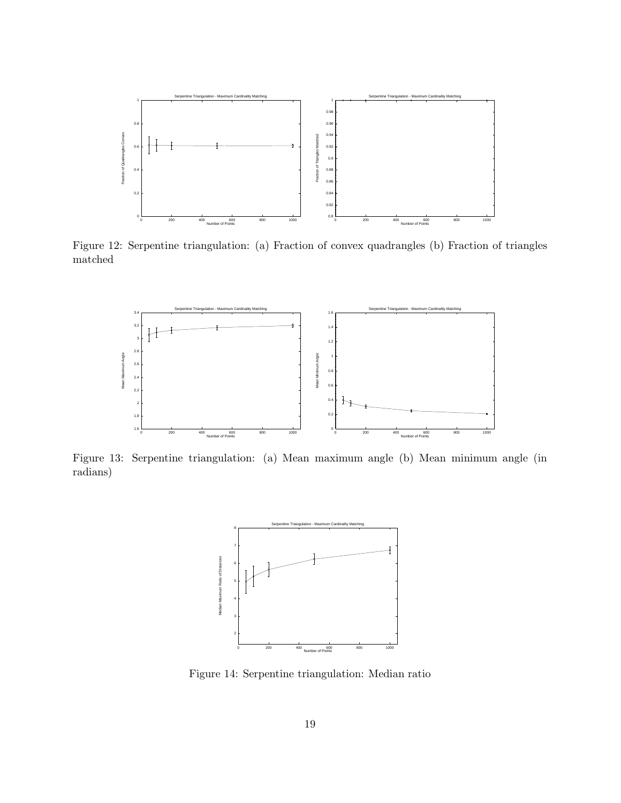

Figure 12: Serpentine triangulation: (a) Fraction of convex quadrangles (b) Fraction of triangles matched



Figure 13: Serpentine triangulation: (a) Mean maximum angle (b) Mean minimum angle (in radians)



Figure 14: Serpentine triangulation: Median ratio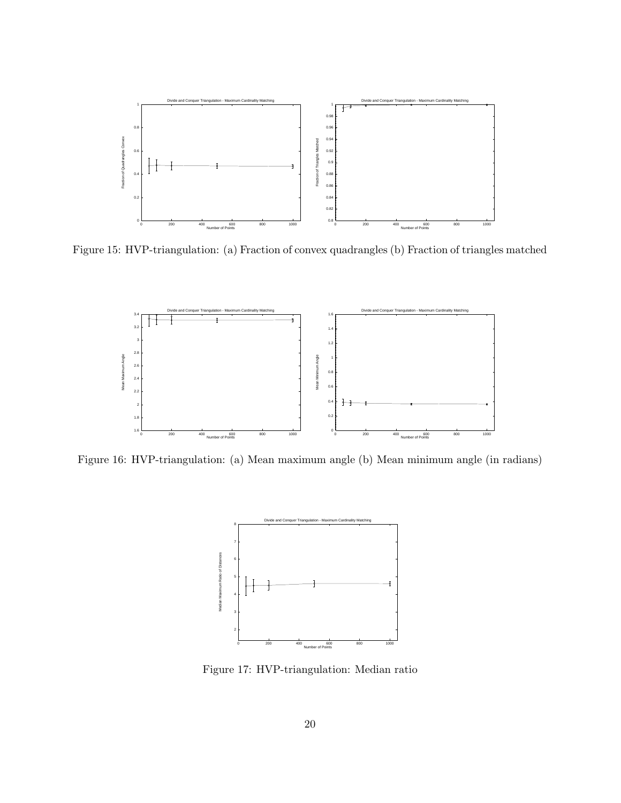

Figure 15: HVP-triangulation: (a) Fraction of convex quadrangles (b) Fraction of triangles matched



Figure 16: HVP-triangulation: (a) Mean maximum angle (b) Mean minimum angle (in radians)



Figure 17: HVP-triangulation: Median ratio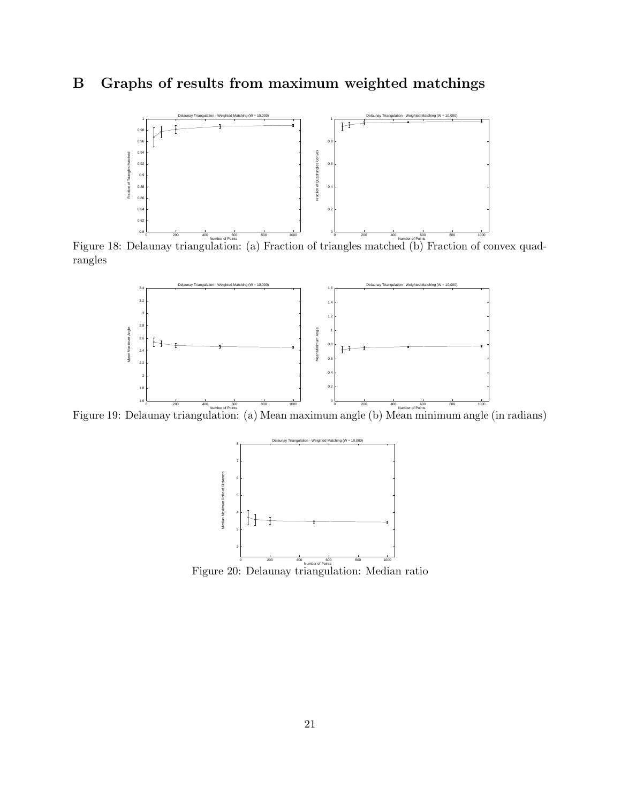# B Graphs of results from maximum weighted matchings



Figure 18: Delaunay triangulation: (a) Fraction of triangles matched (b) Fraction of convex quadrangles



Figure 19: Delaunay triangulation: (a) Mean maximum angle (b) Mean minimum angle (in radians)



Figure 20: Delaunay triangulation: Median ratio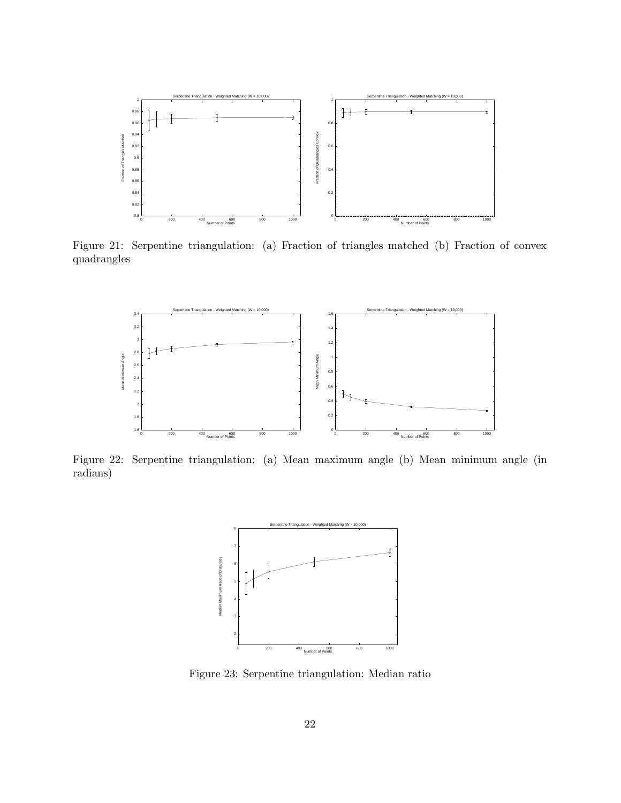

Figure 21: Serpentine triangulation: (a) Fraction of triangles matched (b) Fraction of convex quadrangles



Figure 22: Serpentine triangulation: (a) Mean maximum angle (b) Mean minimum angle (in radians)



Figure 23: Serpentine triangulation: Median ratio